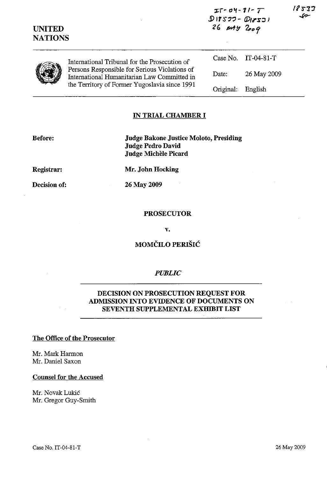| <b>UNITED</b><br><b>NATIONS</b> |                                                                                                                                               | $D1577 - D18531$<br>$26$ $m4y$ $2009$ |                     | .c= |
|---------------------------------|-----------------------------------------------------------------------------------------------------------------------------------------------|---------------------------------------|---------------------|-----|
|                                 | International Tribunal for the Prosecution of                                                                                                 |                                       | Case No. IT-04-81-T |     |
|                                 | Persons Responsible for Serious Violations of<br>International Humanitarian Law Committed in<br>the Territory of Former Yugoslavia since 1991 | Date:                                 | 26 May 2009         |     |
|                                 |                                                                                                                                               | Original:                             | English             |     |
|                                 |                                                                                                                                               |                                       |                     |     |

**J::f-** *"'1-11- T* 

18537

### **IN TRIAL CHAMBER I**

**Before:** 

**Judge Bakone Justice Moloto, Presiding Judge Pedro David Judge Michele Picard** 

**Registrar:** 

**Mr. John Hocking** 

**Decision of:** 

26 May 2009

### **PROSECUTOR**

**v.** 

# **MOMČILO PERIŠIĆ**

## *PUBLIC*

# **DECISION ON PROSECUTION REQUEST FOR ADMISSION INTO EVIDENCE OF DOCUMENTS ON SEVENTH SUPPLEMENTAL EXHIBIT LIST**

#### **The Office of the Prosecutor**

Mr. Mark Harmon Mr. Daniel Saxon

**Counsel for the Accused** 

Mr. Novak Lukic Mr. Gregor Guy-Smith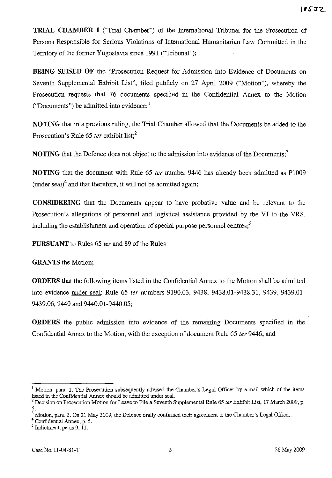**TRIAL CHAMBER I** ("Trial Chamber") of the International Tribunal for the Prosecution of Persons Responsible for Serious Violations of International Humanitarian Law Committed in the Territory of the former Yugoslavia since 1991 ("Tribunal");

**BEING SEISED OF** the "Prosecution Request for Admission into Evidence of Documents on Seventh Supplemental Exhibit List", filed publicly on 27 April 2009 ("Motion"), whereby the Prosecution requests that 76 documents specified in the Confidential Annex to the Motion ("Documents") be admitted into evidence; $<sup>1</sup>$ </sup>

**NOTING** that in a previous ruling, the Trial Chamber allowed that the Documents be added to the Prosecution's Rule 65 *ter* exhibit list;<sup>2</sup>

**NOTING** that the Defence does not object to the admission into evidence of the Documents;<sup>3</sup>

**NOTING** that the document with Rule 65 *ter* number 9446 has already been admitted as PlO09 (under seal)<sup>4</sup> and that therefore, it will not be admitted again;

**CONSIDERING** that the Documents appear to have probative value and be relevant to the Prosecution's allegations of personnel and logistical assistance provided by the **VJ** to the VRS, including the establishment and operation of special purpose personnel centres;<sup>5</sup>

**PURSUANT** to Rules 65 *ter* and 89 of the Rules

**GRANTS** the Motion;

**ORDERS** that the following items listed in the Confidential Annex to the Motion shall be admitted into evidence under seal: Rule 65 *ter* numbers 9190.03, 9438, 9438.01-9438.31, 9439, 9439.01- 9439.06, 9440 and 9440.01-9440.05;

**ORDERS** the public admission into evidence of the remaining Documents specified in the Confidential Annex to the Motion, with the exception of document Rule 65 *ter* 9446; and

<sup>&</sup>lt;sup>1</sup> Motion, para. 1. The Prosecution subsequently advised the Chamber's Legal Officer by e-mail which of the items listed in the Confidential Annex should be admitted under seal.

<sup>2</sup> Decision on Prosecution Motion for Leave to File a Seventh Supplemental Rule 65 *ter* Exhibit List, 17 March 2009, p. 5.

<sup>3</sup> Motion, para. 2. On 21 May 2009, the Defence orally confirmed their agreement to the Chamber's Legal Officer.

<sup>4</sup> Confidential Annex, p. 5.

 $<sup>5</sup>$  Indictment, paras 9, 11.</sup>